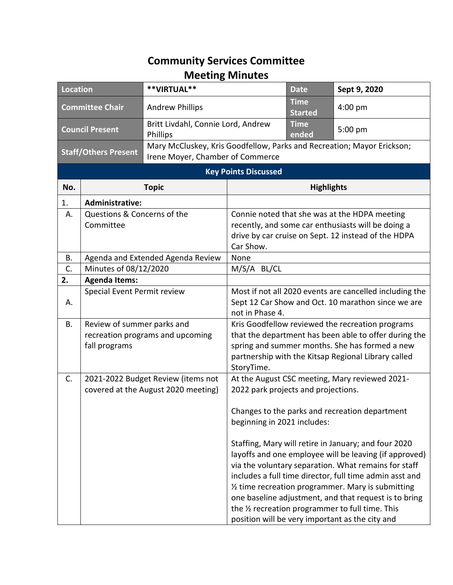## **Community Services Committee Meeting Minutes**

| <b>Location</b>                                                 |                                                                                 | **VIRTUAL**                                                               |                                                                                                                                                                                                                                  | <b>Date</b>                   | Sept 9, 2020                                                                                                                                                                                                                                                                                                                                                                                                                                            |
|-----------------------------------------------------------------|---------------------------------------------------------------------------------|---------------------------------------------------------------------------|----------------------------------------------------------------------------------------------------------------------------------------------------------------------------------------------------------------------------------|-------------------------------|---------------------------------------------------------------------------------------------------------------------------------------------------------------------------------------------------------------------------------------------------------------------------------------------------------------------------------------------------------------------------------------------------------------------------------------------------------|
| <b>Committee Chair</b>                                          |                                                                                 | <b>Andrew Phillips</b>                                                    |                                                                                                                                                                                                                                  | <b>Time</b><br><b>Started</b> | 4:00 pm                                                                                                                                                                                                                                                                                                                                                                                                                                                 |
| <b>Council Present</b>                                          |                                                                                 | Britt Livdahl, Connie Lord, Andrew<br>Phillips                            |                                                                                                                                                                                                                                  | <b>Time</b><br>ended          | 5:00 pm                                                                                                                                                                                                                                                                                                                                                                                                                                                 |
| <b>Staff/Others Present</b><br>Irene Moyer, Chamber of Commerce |                                                                                 | Mary McCluskey, Kris Goodfellow, Parks and Recreation; Mayor Erickson;    |                                                                                                                                                                                                                                  |                               |                                                                                                                                                                                                                                                                                                                                                                                                                                                         |
| <b>Key Points Discussed</b>                                     |                                                                                 |                                                                           |                                                                                                                                                                                                                                  |                               |                                                                                                                                                                                                                                                                                                                                                                                                                                                         |
| No.                                                             |                                                                                 | <b>Topic</b>                                                              | <b>Highlights</b>                                                                                                                                                                                                                |                               |                                                                                                                                                                                                                                                                                                                                                                                                                                                         |
| 1.                                                              | <b>Administrative:</b>                                                          |                                                                           |                                                                                                                                                                                                                                  |                               |                                                                                                                                                                                                                                                                                                                                                                                                                                                         |
| A.                                                              | Questions & Concerns of the<br>Committee                                        |                                                                           | Connie noted that she was at the HDPA meeting<br>recently, and some car enthusiasts will be doing a<br>drive by car cruise on Sept. 12 instead of the HDPA<br>Car Show.                                                          |                               |                                                                                                                                                                                                                                                                                                                                                                                                                                                         |
| В.                                                              | Agenda and Extended Agenda Review                                               |                                                                           | None                                                                                                                                                                                                                             |                               |                                                                                                                                                                                                                                                                                                                                                                                                                                                         |
| C.                                                              | Minutes of 08/12/2020                                                           |                                                                           | M/S/A BL/CL                                                                                                                                                                                                                      |                               |                                                                                                                                                                                                                                                                                                                                                                                                                                                         |
| 2.                                                              | <b>Agenda Items:</b>                                                            |                                                                           |                                                                                                                                                                                                                                  |                               |                                                                                                                                                                                                                                                                                                                                                                                                                                                         |
| А.                                                              | Special Event Permit review                                                     |                                                                           | Most if not all 2020 events are cancelled including the<br>Sept 12 Car Show and Oct. 10 marathon since we are<br>not in Phase 4.                                                                                                 |                               |                                                                                                                                                                                                                                                                                                                                                                                                                                                         |
| В.                                                              | Review of summer parks and<br>recreation programs and upcoming<br>fall programs |                                                                           | Kris Goodfellow reviewed the recreation programs<br>that the department has been able to offer during the<br>spring and summer months. She has formed a new<br>partnership with the Kitsap Regional Library called<br>StoryTime. |                               |                                                                                                                                                                                                                                                                                                                                                                                                                                                         |
| C.                                                              |                                                                                 | 2021-2022 Budget Review (items not<br>covered at the August 2020 meeting) | 2022 park projects and projections.                                                                                                                                                                                              |                               | At the August CSC meeting, Mary reviewed 2021-                                                                                                                                                                                                                                                                                                                                                                                                          |
|                                                                 |                                                                                 |                                                                           | beginning in 2021 includes:                                                                                                                                                                                                      |                               | Changes to the parks and recreation department                                                                                                                                                                                                                                                                                                                                                                                                          |
|                                                                 |                                                                                 |                                                                           |                                                                                                                                                                                                                                  |                               | Staffing, Mary will retire in January; and four 2020<br>layoffs and one employee will be leaving (if approved)<br>via the voluntary separation. What remains for staff<br>includes a full time director, full time admin asst and<br>1/2 time recreation programmer. Mary is submitting<br>one baseline adjustment, and that request is to bring<br>the 1/2 recreation programmer to full time. This<br>position will be very important as the city and |